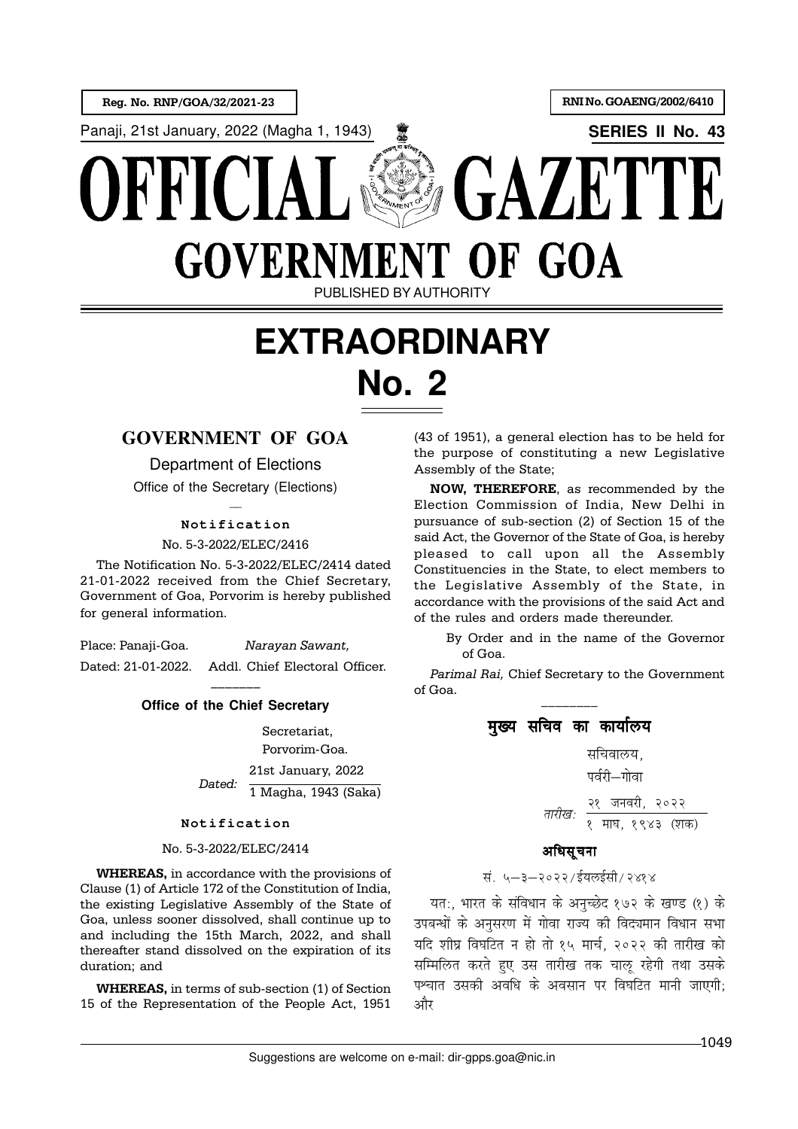

# **EXTRAORDINARY No. 2**

# **GOVERNMENT OF GOA**

Department of Elections

Office of the Secretary (Elections)  $\overline{a}$ 

## **Notification**

No. 5-3-2022/ELEC/2416

The Notification No. 5-3-2022/ELEC/2414 dated 21-01-2022 received from the Chief Secretary, Government of Goa, Porvorim is hereby published for general information.

Place: Panaji-Goa. Narayan Sawant, Dated: 21-01-2022. Addl. Chief Electoral Officer.

### ––––––– **Office of the Chief Secretary**

Secretariat, Porvorim-Goa. 21st January, 2022 1 Magha, 1943 (Saka) Dated:

#### **Notification**

#### No. 5-3-2022/ELEC/2414

WHEREAS, in accordance with the provisions of Clause (1) of Article 172 of the Constitution of India, the existing Legislative Assembly of the State of Goa, unless sooner dissolved, shall continue up to and including the 15th March, 2022, and shall thereafter stand dissolved on the expiration of its duration; and

WHEREAS, in terms of sub-section (1) of Section 15 of the Representation of the People Act, 1951

(43 of 1951), a general election has to be held for the purpose of constituting a new Legislative Assembly of the State;

NOW, THEREFORE, as recommended by the Election Commission of India, New Delhi in pursuance of sub-section (2) of Section 15 of the said Act, the Governor of the State of Goa, is hereby pleased to call upon all the Assembly Constituencies in the State, to elect members to the Legislative Assembly of the State, in accordance with the provisions of the said Act and of the rules and orders made thereunder.

By Order and in the name of the Governor of Goa.

Parimal Rai, Chief Secretary to the Government of Goa. \_\_\_\_\_\_\_\_

> मख्य सचिव का कार्यालय सचिवालय. पर्वरी—गोवा २१ जनवरी, २०२२ तारीख: <u>रे माघ, १९४३ (शक</u>)

# अधिसुचना

# सं ५–३–२०२२/ईयलईसी/२४१४

यत:, भारत के संविधान के अनच्छेद १७२ के खण्ड (१) के उपबन्धों के अनुसरण में गोवा राज्य की विद्यमान विधान सभा यदि शीघ्र विघटित न हो तो १५ मार्च, २०२२ की तारीख को सम्मिलित करते हुए उस तारीख तक चालू रहेगी तथा उसके पश्चात उसकी अवधि के अवसान पर विघटित मानी जाएगी: और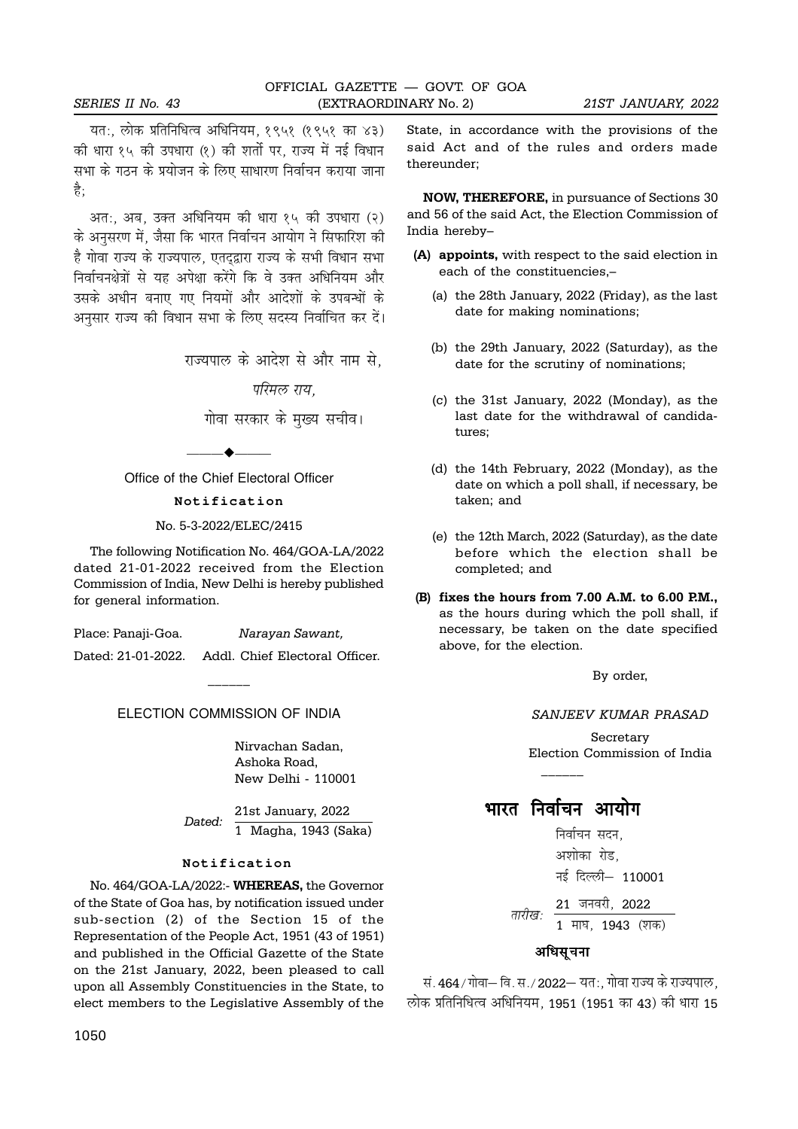यत:, लोक प्रतिनिधित्व अधिनियम, १९५१ (१९५१ का ४३) की धारा १५ की उपधारा (१) की शर्तो पर, राज्य में नई विधान सभा के गठन के प्रयोजन के लिए साधारण निर्वाचन कराया जाना है:

अत:, अब, उक्त अधिनियम की धारा १५ की उपधारा (२) के अनसरण में. जैसा कि भारत निर्वाचन आयोग ने सिफारिश की है गोवा राज्य के राज्यपाल, एतदद्वारा राज्य के सभी विधान सभा निर्वाचनक्षेत्रों से यह अपेक्षा करेंगे कि वे उक्त अधिनियम और उसके अधीन बनाए गए नियमों और आदेशों के उपबन्धों के अनुसार राज्य की विधान सभा के लिए सदस्य निर्वाचित कर दें।

राज्यपाल के आदेश से और नाम से

परिमल राय

गोवा सरकार के मुख्य सचीव।

—— $\bullet$ —— Office of the Chief Electoral Officer

#### **Notification**

No. 5-3-2022/ELEC/2415

The following Notification No. 464/GOA-LA/2022 dated 21-01-2022 received from the Election Commission of India, New Delhi is hereby published for general information.

Place: Panaji-Goa. Narayan Sawant,

Dated: 21-01-2022. Addl. Chief Electoral Officer.

ELECTION COMMISSION OF INDIA

 $\overline{\phantom{a}}$ 

Nirvachan Sadan, Ashoka Road, New Delhi - 110001

21st January, 2022 1 Magha, 1943 (Saka) Dated:

#### **Notification**

No. 464/GOA-LA/2022:- WHEREAS, the Governor of the State of Goa has, by notification issued under sub-section (2) of the Section 15 of the Representation of the People Act, 1951 (43 of 1951) and published in the Official Gazette of the State on the 21st January, 2022, been pleased to call upon all Assembly Constituencies in the State, to elect members to the Legislative Assembly of the State, in accordance with the provisions of the said Act and of the rules and orders made thereunder;

NOW, THEREFORE, in pursuance of Sections 30 and 56 of the said Act, the Election Commission of India hereby–

- (A) appoints, with respect to the said election in each of the constituencies,–
	- (a) the 28th January, 2022 (Friday), as the last date for making nominations;
	- (b) the 29th January, 2022 (Saturday), as the date for the scrutiny of nominations;
	- (c) the 31st January, 2022 (Monday), as the last date for the withdrawal of candidatures;
	- (d) the 14th February, 2022 (Monday), as the date on which a poll shall, if necessary, be taken; and
	- (e) the 12th March, 2022 (Saturday), as the date before which the election shall be completed; and
- (B) fixes the hours from 7.00 A.M. to 6.00 P.M., as the hours during which the poll shall, if necessary, be taken on the date specified above, for the election.

By order,

SANJEEV KUMAR PRASAD

Secretary Election Commission of India

भारत निर्वाचन आयोग

 $\overline{\phantom{a}}$ 

निर्वाचन सदन. अशोका रोड. नई दिल्ली- 110001

 $21$  जनवरी,  $2022$  $\overline{1 \text{ H}4 \text{ H}43}$  (शक) तारीख:

#### अधिसचना

सं. 464/गोवा— वि. स./2022— यत:, गोवा राज्य के राज्यपाल, लोक प्रतिनिधित्व अधिनियम, 1951 (1951 का 43) की धारा 15